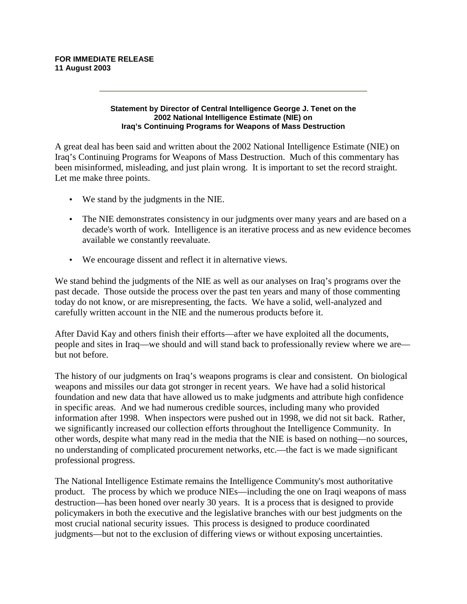## **FOR IMMEDIATE RELEASE 11 August 2003**

## **Statement by Director of Central Intelligence George J. Tenet on the 2002 National Intelligence Estimate (NIE) on Iraq's Continuing Programs for Weapons of Mass Destruction**

A great deal has been said and written about the 2002 National Intelligence Estimate (NIE) on Iraq's Continuing Programs for Weapons of Mass Destruction. Much of this commentary has been misinformed, misleading, and just plain wrong. It is important to set the record straight. Let me make three points.

- We stand by the judgments in the NIE.
- The NIE demonstrates consistency in our judgments over many years and are based on a decade's worth of work. Intelligence is an iterative process and as new evidence becomes available we constantly reevaluate.
- We encourage dissent and reflect it in alternative views.

We stand behind the judgments of the NIE as well as our analyses on Iraq's programs over the past decade. Those outside the process over the past ten years and many of those commenting today do not know, or are misrepresenting, the facts. We have a solid, well-analyzed and carefully written account in the NIE and the numerous products before it.

After David Kay and others finish their efforts—after we have exploited all the documents, people and sites in Iraq—we should and will stand back to professionally review where we are but not before.

The history of our judgments on Iraq's weapons programs is clear and consistent. On biological weapons and missiles our data got stronger in recent years. We have had a solid historical foundation and new data that have allowed us to make judgments and attribute high confidence in specific areas. And we had numerous credible sources, including many who provided information after 1998. When inspectors were pushed out in 1998, we did not sit back. Rather, we significantly increased our collection efforts throughout the Intelligence Community. In other words, despite what many read in the media that the NIE is based on nothing—no sources, no understanding of complicated procurement networks, etc.—the fact is we made significant professional progress.

The National Intelligence Estimate remains the Intelligence Community's most authoritative product. The process by which we produce NIEs—including the one on Iraqi weapons of mass destruction—has been honed over nearly 30 years. It is a process that is designed to provide policymakers in both the executive and the legislative branches with our best judgments on the most crucial national security issues. This process is designed to produce coordinated judgments—but not to the exclusion of differing views or without exposing uncertainties.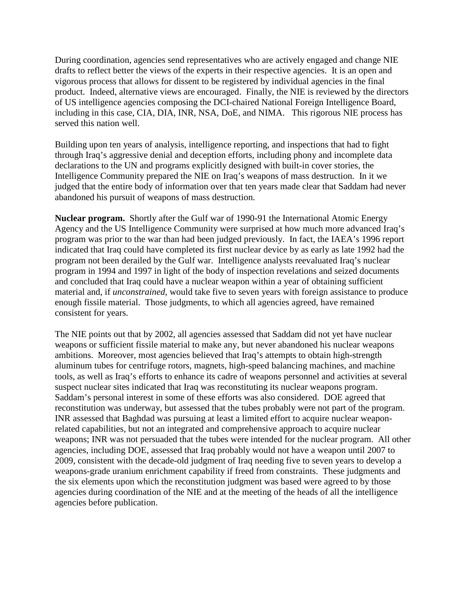During coordination, agencies send representatives who are actively engaged and change NIE drafts to reflect better the views of the experts in their respective agencies. It is an open and vigorous process that allows for dissent to be registered by individual agencies in the final product. Indeed, alternative views are encouraged. Finally, the NIE is reviewed by the directors of US intelligence agencies composing the DCI-chaired National Foreign Intelligence Board, including in this case, CIA, DIA, INR, NSA, DoE, and NIMA. This rigorous NIE process has served this nation well.

Building upon ten years of analysis, intelligence reporting, and inspections that had to fight through Iraq's aggressive denial and deception efforts, including phony and incomplete data declarations to the UN and programs explicitly designed with built-in cover stories, the Intelligence Community prepared the NIE on Iraq's weapons of mass destruction. In it we judged that the entire body of information over that ten years made clear that Saddam had never abandoned his pursuit of weapons of mass destruction.

**Nuclear program.** Shortly after the Gulf war of 1990-91 the International Atomic Energy Agency and the US Intelligence Community were surprised at how much more advanced Iraq's program was prior to the war than had been judged previously. In fact, the IAEA's 1996 report indicated that Iraq could have completed its first nuclear device by as early as late 1992 had the program not been derailed by the Gulf war. Intelligence analysts reevaluated Iraq's nuclear program in 1994 and 1997 in light of the body of inspection revelations and seized documents and concluded that Iraq could have a nuclear weapon within a year of obtaining sufficient material and, if *unconstrained*, would take five to seven years with foreign assistance to produce enough fissile material. Those judgments, to which all agencies agreed, have remained consistent for years.

The NIE points out that by 2002, all agencies assessed that Saddam did not yet have nuclear weapons or sufficient fissile material to make any, but never abandoned his nuclear weapons ambitions. Moreover, most agencies believed that Iraq's attempts to obtain high-strength aluminum tubes for centrifuge rotors, magnets, high-speed balancing machines, and machine tools, as well as Iraq's efforts to enhance its cadre of weapons personnel and activities at several suspect nuclear sites indicated that Iraq was reconstituting its nuclear weapons program. Saddam's personal interest in some of these efforts was also considered. DOE agreed that reconstitution was underway, but assessed that the tubes probably were not part of the program. INR assessed that Baghdad was pursuing at least a limited effort to acquire nuclear weaponrelated capabilities, but not an integrated and comprehensive approach to acquire nuclear weapons; INR was not persuaded that the tubes were intended for the nuclear program. All other agencies, including DOE, assessed that Iraq probably would not have a weapon until 2007 to 2009, consistent with the decade-old judgment of Iraq needing five to seven years to develop a weapons-grade uranium enrichment capability if freed from constraints. These judgments and the six elements upon which the reconstitution judgment was based were agreed to by those agencies during coordination of the NIE and at the meeting of the heads of all the intelligence agencies before publication.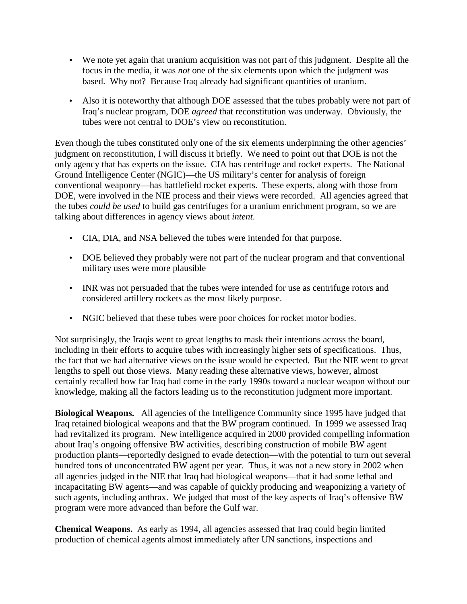- We note yet again that uranium acquisition was not part of this judgment. Despite all the focus in the media, it was *not* one of the six elements upon which the judgment was based. Why not? Because Iraq already had significant quantities of uranium.
- Also it is noteworthy that although DOE assessed that the tubes probably were not part of Iraq's nuclear program, DOE *agreed* that reconstitution was underway. Obviously, the tubes were not central to DOE's view on reconstitution.

Even though the tubes constituted only one of the six elements underpinning the other agencies' judgment on reconstitution, I will discuss it briefly. We need to point out that DOE is not the only agency that has experts on the issue. CIA has centrifuge and rocket experts. The National Ground Intelligence Center (NGIC)—the US military's center for analysis of foreign conventional weaponry—has battlefield rocket experts. These experts, along with those from DOE, were involved in the NIE process and their views were recorded. All agencies agreed that the tubes *could be used* to build gas centrifuges for a uranium enrichment program, so we are talking about differences in agency views about *intent*.

- CIA, DIA, and NSA believed the tubes were intended for that purpose.
- DOE believed they probably were not part of the nuclear program and that conventional military uses were more plausible
- INR was not persuaded that the tubes were intended for use as centrifuge rotors and considered artillery rockets as the most likely purpose.
- NGIC believed that these tubes were poor choices for rocket motor bodies.

Not surprisingly, the Iraqis went to great lengths to mask their intentions across the board, including in their efforts to acquire tubes with increasingly higher sets of specifications. Thus, the fact that we had alternative views on the issue would be expected. But the NIE went to great lengths to spell out those views. Many reading these alternative views, however, almost certainly recalled how far Iraq had come in the early 1990s toward a nuclear weapon without our knowledge, making all the factors leading us to the reconstitution judgment more important.

**Biological Weapons.** All agencies of the Intelligence Community since 1995 have judged that Iraq retained biological weapons and that the BW program continued. In 1999 we assessed Iraq had revitalized its program. New intelligence acquired in 2000 provided compelling information about Iraq's ongoing offensive BW activities, describing construction of mobile BW agent production plants—reportedly designed to evade detection—with the potential to turn out several hundred tons of unconcentrated BW agent per year. Thus, it was not a new story in 2002 when all agencies judged in the NIE that Iraq had biological weapons—that it had some lethal and incapacitating BW agents—and was capable of quickly producing and weaponizing a variety of such agents, including anthrax. We judged that most of the key aspects of Iraq's offensive BW program were more advanced than before the Gulf war.

**Chemical Weapons.** As early as 1994, all agencies assessed that Iraq could begin limited production of chemical agents almost immediately after UN sanctions, inspections and